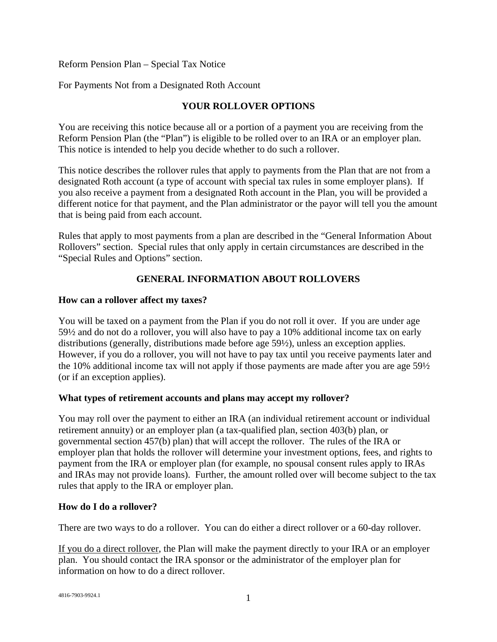Reform Pension Plan – Special Tax Notice

For Payments Not from a Designated Roth Account

## **YOUR ROLLOVER OPTIONS**

You are receiving this notice because all or a portion of a payment you are receiving from the Reform Pension Plan (the "Plan") is eligible to be rolled over to an IRA or an employer plan. This notice is intended to help you decide whether to do such a rollover.

This notice describes the rollover rules that apply to payments from the Plan that are not from a designated Roth account (a type of account with special tax rules in some employer plans). If you also receive a payment from a designated Roth account in the Plan, you will be provided a different notice for that payment, and the Plan administrator or the payor will tell you the amount that is being paid from each account.

Rules that apply to most payments from a plan are described in the "General Information About Rollovers" section. Special rules that only apply in certain circumstances are described in the "Special Rules and Options" section.

# **GENERAL INFORMATION ABOUT ROLLOVERS**

### **How can a rollover affect my taxes?**

You will be taxed on a payment from the Plan if you do not roll it over. If you are under age 59½ and do not do a rollover, you will also have to pay a 10% additional income tax on early distributions (generally, distributions made before age 59½), unless an exception applies. However, if you do a rollover, you will not have to pay tax until you receive payments later and the 10% additional income tax will not apply if those payments are made after you are age 59½ (or if an exception applies).

## **What types of retirement accounts and plans may accept my rollover?**

You may roll over the payment to either an IRA (an individual retirement account or individual retirement annuity) or an employer plan (a tax-qualified plan, section 403(b) plan, or governmental section 457(b) plan) that will accept the rollover. The rules of the IRA or employer plan that holds the rollover will determine your investment options, fees, and rights to payment from the IRA or employer plan (for example, no spousal consent rules apply to IRAs and IRAs may not provide loans). Further, the amount rolled over will become subject to the tax rules that apply to the IRA or employer plan.

### **How do I do a rollover?**

There are two ways to do a rollover. You can do either a direct rollover or a 60-day rollover.

If you do a direct rollover, the Plan will make the payment directly to your IRA or an employer plan. You should contact the IRA sponsor or the administrator of the employer plan for information on how to do a direct rollover.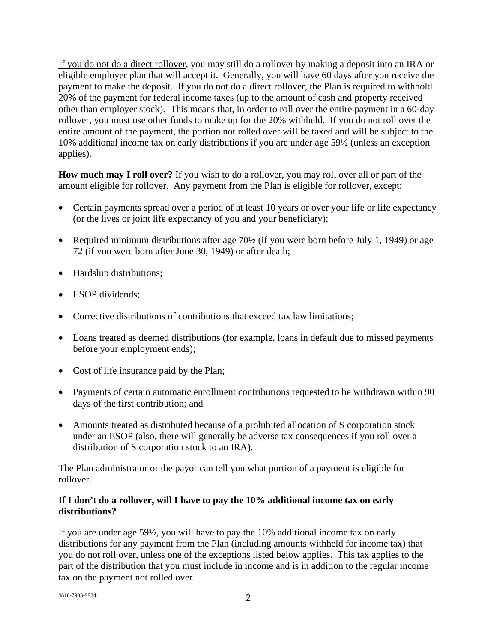If you do not do a direct rollover, you may still do a rollover by making a deposit into an IRA or eligible employer plan that will accept it. Generally, you will have 60 days after you receive the payment to make the deposit. If you do not do a direct rollover, the Plan is required to withhold 20% of the payment for federal income taxes (up to the amount of cash and property received other than employer stock). This means that, in order to roll over the entire payment in a 60-day rollover, you must use other funds to make up for the 20% withheld. If you do not roll over the entire amount of the payment, the portion not rolled over will be taxed and will be subject to the 10% additional income tax on early distributions if you are under age 59½ (unless an exception applies).

**How much may I roll over?** If you wish to do a rollover, you may roll over all or part of the amount eligible for rollover. Any payment from the Plan is eligible for rollover, except:

- Certain payments spread over a period of at least 10 years or over your life or life expectancy (or the lives or joint life expectancy of you and your beneficiary);
- Required minimum distributions after age 70½ (if you were born before July 1, 1949) or age 72 (if you were born after June 30, 1949) or after death;
- Hardship distributions;
- ESOP dividends;
- Corrective distributions of contributions that exceed tax law limitations;
- Loans treated as deemed distributions (for example, loans in default due to missed payments before your employment ends);
- Cost of life insurance paid by the Plan;
- Payments of certain automatic enrollment contributions requested to be withdrawn within 90 days of the first contribution; and
- Amounts treated as distributed because of a prohibited allocation of S corporation stock under an ESOP (also, there will generally be adverse tax consequences if you roll over a distribution of S corporation stock to an IRA).

The Plan administrator or the payor can tell you what portion of a payment is eligible for rollover.

## **If I don't do a rollover, will I have to pay the 10% additional income tax on early distributions?**

If you are under age 59½, you will have to pay the 10% additional income tax on early distributions for any payment from the Plan (including amounts withheld for income tax) that you do not roll over, unless one of the exceptions listed below applies. This tax applies to the part of the distribution that you must include in income and is in addition to the regular income tax on the payment not rolled over.

 $4816-7903-9924.1$  2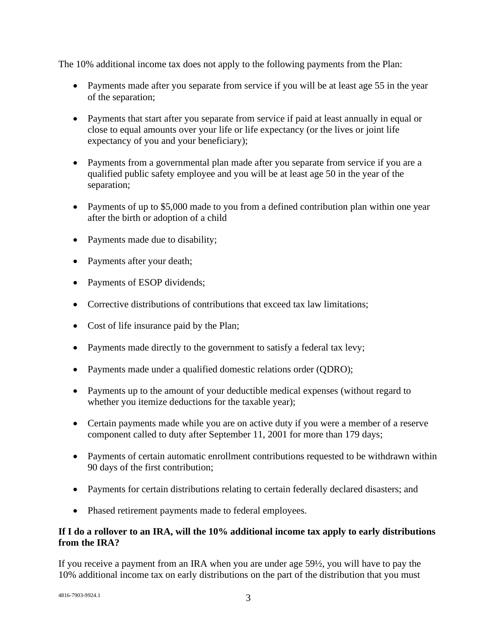The 10% additional income tax does not apply to the following payments from the Plan:

- Payments made after you separate from service if you will be at least age 55 in the year of the separation;
- Payments that start after you separate from service if paid at least annually in equal or close to equal amounts over your life or life expectancy (or the lives or joint life expectancy of you and your beneficiary);
- Payments from a governmental plan made after you separate from service if you are a qualified public safety employee and you will be at least age 50 in the year of the separation;
- Payments of up to \$5,000 made to you from a defined contribution plan within one year after the birth or adoption of a child
- Payments made due to disability;
- Payments after your death;
- Payments of ESOP dividends;
- Corrective distributions of contributions that exceed tax law limitations:
- Cost of life insurance paid by the Plan;
- Payments made directly to the government to satisfy a federal tax levy;
- Payments made under a qualified domestic relations order (QDRO);
- Payments up to the amount of your deductible medical expenses (without regard to whether you itemize deductions for the taxable year);
- Certain payments made while you are on active duty if you were a member of a reserve component called to duty after September 11, 2001 for more than 179 days;
- Payments of certain automatic enrollment contributions requested to be withdrawn within 90 days of the first contribution;
- Payments for certain distributions relating to certain federally declared disasters; and
- Phased retirement payments made to federal employees.

### **If I do a rollover to an IRA, will the 10% additional income tax apply to early distributions from the IRA?**

If you receive a payment from an IRA when you are under age 59½, you will have to pay the 10% additional income tax on early distributions on the part of the distribution that you must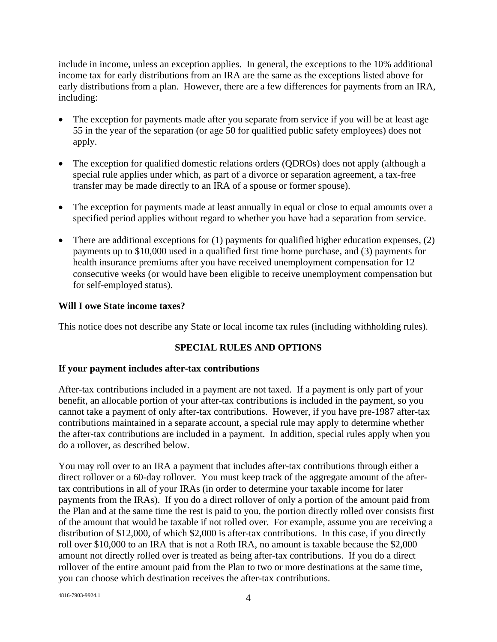include in income, unless an exception applies. In general, the exceptions to the 10% additional income tax for early distributions from an IRA are the same as the exceptions listed above for early distributions from a plan. However, there are a few differences for payments from an IRA, including:

- The exception for payments made after you separate from service if you will be at least age 55 in the year of the separation (or age 50 for qualified public safety employees) does not apply.
- The exception for qualified domestic relations orders (QDROs) does not apply (although a special rule applies under which, as part of a divorce or separation agreement, a tax-free transfer may be made directly to an IRA of a spouse or former spouse).
- The exception for payments made at least annually in equal or close to equal amounts over a specified period applies without regard to whether you have had a separation from service.
- There are additional exceptions for (1) payments for qualified higher education expenses, (2) payments up to \$10,000 used in a qualified first time home purchase, and (3) payments for health insurance premiums after you have received unemployment compensation for 12 consecutive weeks (or would have been eligible to receive unemployment compensation but for self-employed status).

## **Will I owe State income taxes?**

This notice does not describe any State or local income tax rules (including withholding rules).

## **SPECIAL RULES AND OPTIONS**

### **If your payment includes after-tax contributions**

After-tax contributions included in a payment are not taxed. If a payment is only part of your benefit, an allocable portion of your after-tax contributions is included in the payment, so you cannot take a payment of only after-tax contributions. However, if you have pre-1987 after-tax contributions maintained in a separate account, a special rule may apply to determine whether the after-tax contributions are included in a payment. In addition, special rules apply when you do a rollover, as described below.

You may roll over to an IRA a payment that includes after-tax contributions through either a direct rollover or a 60-day rollover. You must keep track of the aggregate amount of the aftertax contributions in all of your IRAs (in order to determine your taxable income for later payments from the IRAs). If you do a direct rollover of only a portion of the amount paid from the Plan and at the same time the rest is paid to you, the portion directly rolled over consists first of the amount that would be taxable if not rolled over. For example, assume you are receiving a distribution of \$12,000, of which \$2,000 is after-tax contributions. In this case, if you directly roll over \$10,000 to an IRA that is not a Roth IRA, no amount is taxable because the \$2,000 amount not directly rolled over is treated as being after-tax contributions. If you do a direct rollover of the entire amount paid from the Plan to two or more destinations at the same time, you can choose which destination receives the after-tax contributions.

 $4816-7903-9924.1$   $4$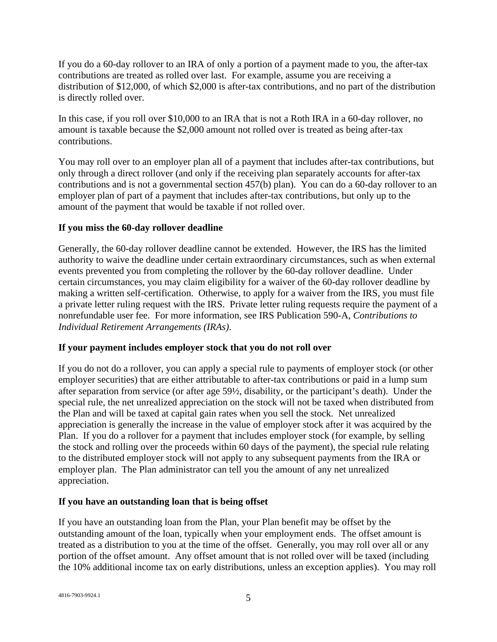If you do a 60-day rollover to an IRA of only a portion of a payment made to you, the after-tax contributions are treated as rolled over last. For example, assume you are receiving a distribution of \$12,000, of which \$2,000 is after-tax contributions, and no part of the distribution is directly rolled over.

In this case, if you roll over \$10,000 to an IRA that is not a Roth IRA in a 60-day rollover, no amount is taxable because the \$2,000 amount not rolled over is treated as being after-tax contributions.

You may roll over to an employer plan all of a payment that includes after-tax contributions, but only through a direct rollover (and only if the receiving plan separately accounts for after-tax contributions and is not a governmental section 457(b) plan). You can do a 60-day rollover to an employer plan of part of a payment that includes after-tax contributions, but only up to the amount of the payment that would be taxable if not rolled over.

## **If you miss the 60-day rollover deadline**

Generally, the 60-day rollover deadline cannot be extended. However, the IRS has the limited authority to waive the deadline under certain extraordinary circumstances, such as when external events prevented you from completing the rollover by the 60-day rollover deadline. Under certain circumstances, you may claim eligibility for a waiver of the 60-day rollover deadline by making a written self-certification. Otherwise, to apply for a waiver from the IRS, you must file a private letter ruling request with the IRS. Private letter ruling requests require the payment of a nonrefundable user fee. For more information, see IRS Publication 590-A, *Contributions to Individual Retirement Arrangements (IRAs)*.

## **If your payment includes employer stock that you do not roll over**

If you do not do a rollover, you can apply a special rule to payments of employer stock (or other employer securities) that are either attributable to after-tax contributions or paid in a lump sum after separation from service (or after age 59½, disability, or the participant's death). Under the special rule, the net unrealized appreciation on the stock will not be taxed when distributed from the Plan and will be taxed at capital gain rates when you sell the stock. Net unrealized appreciation is generally the increase in the value of employer stock after it was acquired by the Plan. If you do a rollover for a payment that includes employer stock (for example, by selling the stock and rolling over the proceeds within 60 days of the payment), the special rule relating to the distributed employer stock will not apply to any subsequent payments from the IRA or employer plan. The Plan administrator can tell you the amount of any net unrealized appreciation.

## **If you have an outstanding loan that is being offset**

If you have an outstanding loan from the Plan, your Plan benefit may be offset by the outstanding amount of the loan, typically when your employment ends. The offset amount is treated as a distribution to you at the time of the offset. Generally, you may roll over all or any portion of the offset amount. Any offset amount that is not rolled over will be taxed (including the 10% additional income tax on early distributions, unless an exception applies). You may roll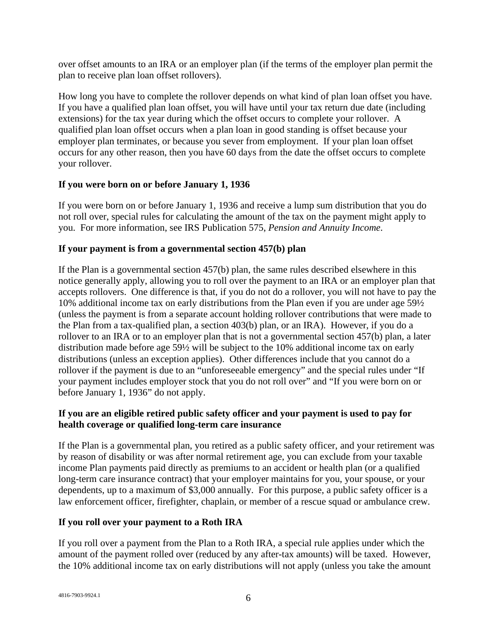over offset amounts to an IRA or an employer plan (if the terms of the employer plan permit the plan to receive plan loan offset rollovers).

How long you have to complete the rollover depends on what kind of plan loan offset you have. If you have a qualified plan loan offset, you will have until your tax return due date (including extensions) for the tax year during which the offset occurs to complete your rollover. A qualified plan loan offset occurs when a plan loan in good standing is offset because your employer plan terminates, or because you sever from employment. If your plan loan offset occurs for any other reason, then you have 60 days from the date the offset occurs to complete your rollover.

## **If you were born on or before January 1, 1936**

If you were born on or before January 1, 1936 and receive a lump sum distribution that you do not roll over, special rules for calculating the amount of the tax on the payment might apply to you. For more information, see IRS Publication 575, *Pension and Annuity Income*.

## **If your payment is from a governmental section 457(b) plan**

If the Plan is a governmental section 457(b) plan, the same rules described elsewhere in this notice generally apply, allowing you to roll over the payment to an IRA or an employer plan that accepts rollovers. One difference is that, if you do not do a rollover, you will not have to pay the 10% additional income tax on early distributions from the Plan even if you are under age 59½ (unless the payment is from a separate account holding rollover contributions that were made to the Plan from a tax-qualified plan, a section 403(b) plan, or an IRA). However, if you do a rollover to an IRA or to an employer plan that is not a governmental section 457(b) plan, a later distribution made before age 59½ will be subject to the 10% additional income tax on early distributions (unless an exception applies). Other differences include that you cannot do a rollover if the payment is due to an "unforeseeable emergency" and the special rules under "If your payment includes employer stock that you do not roll over" and "If you were born on or before January 1, 1936" do not apply.

## **If you are an eligible retired public safety officer and your payment is used to pay for health coverage or qualified long-term care insurance**

If the Plan is a governmental plan, you retired as a public safety officer, and your retirement was by reason of disability or was after normal retirement age, you can exclude from your taxable income Plan payments paid directly as premiums to an accident or health plan (or a qualified long-term care insurance contract) that your employer maintains for you, your spouse, or your dependents, up to a maximum of \$3,000 annually. For this purpose, a public safety officer is a law enforcement officer, firefighter, chaplain, or member of a rescue squad or ambulance crew.

# **If you roll over your payment to a Roth IRA**

If you roll over a payment from the Plan to a Roth IRA, a special rule applies under which the amount of the payment rolled over (reduced by any after-tax amounts) will be taxed. However, the 10% additional income tax on early distributions will not apply (unless you take the amount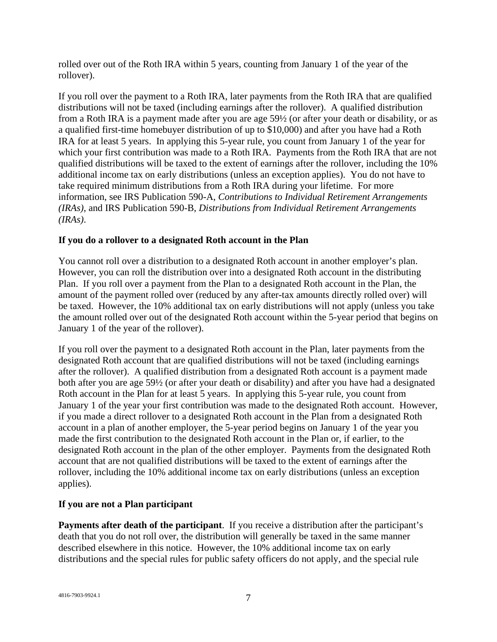rolled over out of the Roth IRA within 5 years, counting from January 1 of the year of the rollover).

If you roll over the payment to a Roth IRA, later payments from the Roth IRA that are qualified distributions will not be taxed (including earnings after the rollover). A qualified distribution from a Roth IRA is a payment made after you are age 59½ (or after your death or disability, or as a qualified first-time homebuyer distribution of up to \$10,000) and after you have had a Roth IRA for at least 5 years. In applying this 5-year rule, you count from January 1 of the year for which your first contribution was made to a Roth IRA. Payments from the Roth IRA that are not qualified distributions will be taxed to the extent of earnings after the rollover, including the 10% additional income tax on early distributions (unless an exception applies). You do not have to take required minimum distributions from a Roth IRA during your lifetime. For more information, see IRS Publication 590-A, *Contributions to Individual Retirement Arrangements (IRAs)*, and IRS Publication 590-B, *Distributions from Individual Retirement Arrangements (IRAs)*.

### **If you do a rollover to a designated Roth account in the Plan**

You cannot roll over a distribution to a designated Roth account in another employer's plan. However, you can roll the distribution over into a designated Roth account in the distributing Plan. If you roll over a payment from the Plan to a designated Roth account in the Plan, the amount of the payment rolled over (reduced by any after-tax amounts directly rolled over) will be taxed. However, the 10% additional tax on early distributions will not apply (unless you take the amount rolled over out of the designated Roth account within the 5-year period that begins on January 1 of the year of the rollover).

If you roll over the payment to a designated Roth account in the Plan, later payments from the designated Roth account that are qualified distributions will not be taxed (including earnings after the rollover). A qualified distribution from a designated Roth account is a payment made both after you are age 59½ (or after your death or disability) and after you have had a designated Roth account in the Plan for at least 5 years. In applying this 5-year rule, you count from January 1 of the year your first contribution was made to the designated Roth account. However, if you made a direct rollover to a designated Roth account in the Plan from a designated Roth account in a plan of another employer, the 5-year period begins on January 1 of the year you made the first contribution to the designated Roth account in the Plan or, if earlier, to the designated Roth account in the plan of the other employer. Payments from the designated Roth account that are not qualified distributions will be taxed to the extent of earnings after the rollover, including the 10% additional income tax on early distributions (unless an exception applies).

## **If you are not a Plan participant**

**Payments after death of the participant**. If you receive a distribution after the participant's death that you do not roll over, the distribution will generally be taxed in the same manner described elsewhere in this notice. However, the 10% additional income tax on early distributions and the special rules for public safety officers do not apply, and the special rule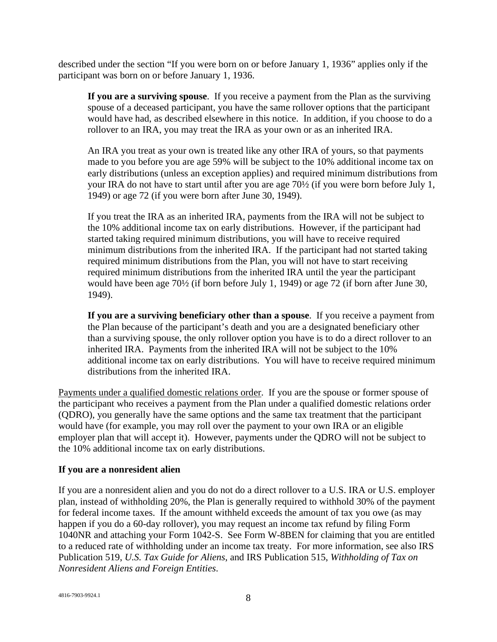described under the section "If you were born on or before January 1, 1936" applies only if the participant was born on or before January 1, 1936.

**If you are a surviving spouse**. If you receive a payment from the Plan as the surviving spouse of a deceased participant, you have the same rollover options that the participant would have had, as described elsewhere in this notice. In addition, if you choose to do a rollover to an IRA, you may treat the IRA as your own or as an inherited IRA.

An IRA you treat as your own is treated like any other IRA of yours, so that payments made to you before you are age 59% will be subject to the 10% additional income tax on early distributions (unless an exception applies) and required minimum distributions from your IRA do not have to start until after you are age 70½ (if you were born before July 1, 1949) or age 72 (if you were born after June 30, 1949).

If you treat the IRA as an inherited IRA, payments from the IRA will not be subject to the 10% additional income tax on early distributions. However, if the participant had started taking required minimum distributions, you will have to receive required minimum distributions from the inherited IRA. If the participant had not started taking required minimum distributions from the Plan, you will not have to start receiving required minimum distributions from the inherited IRA until the year the participant would have been age 70½ (if born before July 1, 1949) or age 72 (if born after June 30, 1949).

**If you are a surviving beneficiary other than a spouse**. If you receive a payment from the Plan because of the participant's death and you are a designated beneficiary other than a surviving spouse, the only rollover option you have is to do a direct rollover to an inherited IRA. Payments from the inherited IRA will not be subject to the 10% additional income tax on early distributions. You will have to receive required minimum distributions from the inherited IRA.

Payments under a qualified domestic relations order. If you are the spouse or former spouse of the participant who receives a payment from the Plan under a qualified domestic relations order (QDRO), you generally have the same options and the same tax treatment that the participant would have (for example, you may roll over the payment to your own IRA or an eligible employer plan that will accept it). However, payments under the QDRO will not be subject to the 10% additional income tax on early distributions.

### **If you are a nonresident alien**

If you are a nonresident alien and you do not do a direct rollover to a U.S. IRA or U.S. employer plan, instead of withholding 20%, the Plan is generally required to withhold 30% of the payment for federal income taxes. If the amount withheld exceeds the amount of tax you owe (as may happen if you do a 60-day rollover), you may request an income tax refund by filing Form 1040NR and attaching your Form 1042-S. See Form W-8BEN for claiming that you are entitled to a reduced rate of withholding under an income tax treaty. For more information, see also IRS Publication 519, *U.S. Tax Guide for Aliens*, and IRS Publication 515, *Withholding of Tax on Nonresident Aliens and Foreign Entities*.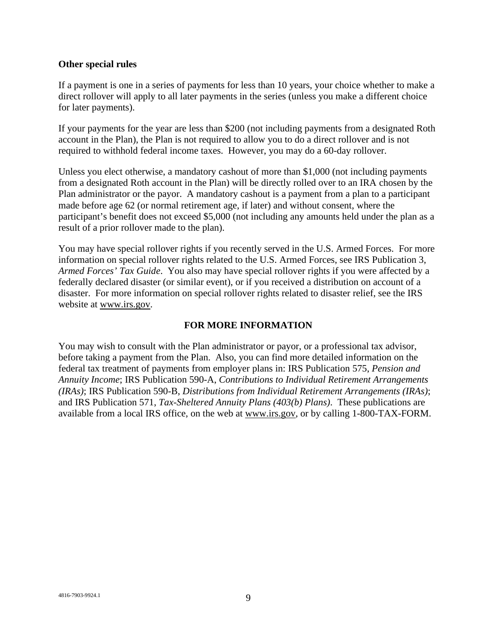#### **Other special rules**

If a payment is one in a series of payments for less than 10 years, your choice whether to make a direct rollover will apply to all later payments in the series (unless you make a different choice for later payments).

If your payments for the year are less than \$200 (not including payments from a designated Roth account in the Plan), the Plan is not required to allow you to do a direct rollover and is not required to withhold federal income taxes. However, you may do a 60-day rollover.

Unless you elect otherwise, a mandatory cashout of more than \$1,000 (not including payments from a designated Roth account in the Plan) will be directly rolled over to an IRA chosen by the Plan administrator or the payor. A mandatory cashout is a payment from a plan to a participant made before age 62 (or normal retirement age, if later) and without consent, where the participant's benefit does not exceed \$5,000 (not including any amounts held under the plan as a result of a prior rollover made to the plan).

You may have special rollover rights if you recently served in the U.S. Armed Forces. For more information on special rollover rights related to the U.S. Armed Forces, see IRS Publication 3, *Armed Forces' Tax Guide*. You also may have special rollover rights if you were affected by a federally declared disaster (or similar event), or if you received a distribution on account of a disaster. For more information on special rollover rights related to disaster relief, see the IRS website at www.irs.gov.

### **FOR MORE INFORMATION**

You may wish to consult with the Plan administrator or payor, or a professional tax advisor, before taking a payment from the Plan. Also, you can find more detailed information on the federal tax treatment of payments from employer plans in: IRS Publication 575, *Pension and Annuity Income*; IRS Publication 590-A, *Contributions to Individual Retirement Arrangements (IRAs)*; IRS Publication 590-B, *Distributions from Individual Retirement Arrangements (IRAs)*; and IRS Publication 571, *Tax-Sheltered Annuity Plans (403(b) Plans)*. These publications are available from a local IRS office, on the web at www.irs.gov, or by calling 1-800-TAX-FORM.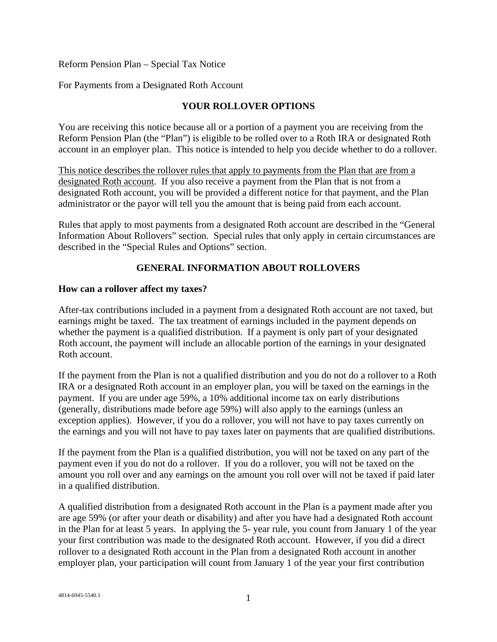Reform Pension Plan – Special Tax Notice

For Payments from a Designated Roth Account

## **YOUR ROLLOVER OPTIONS**

You are receiving this notice because all or a portion of a payment you are receiving from the Reform Pension Plan (the "Plan") is eligible to be rolled over to a Roth IRA or designated Roth account in an employer plan. This notice is intended to help you decide whether to do a rollover.

This notice describes the rollover rules that apply to payments from the Plan that are from a designated Roth account. If you also receive a payment from the Plan that is not from a designated Roth account, you will be provided a different notice for that payment, and the Plan administrator or the payor will tell you the amount that is being paid from each account.

Rules that apply to most payments from a designated Roth account are described in the "General Information About Rollovers" section. Special rules that only apply in certain circumstances are described in the "Special Rules and Options" section.

## **GENERAL INFORMATION ABOUT ROLLOVERS**

### **How can a rollover affect my taxes?**

After-tax contributions included in a payment from a designated Roth account are not taxed, but earnings might be taxed. The tax treatment of earnings included in the payment depends on whether the payment is a qualified distribution. If a payment is only part of your designated Roth account, the payment will include an allocable portion of the earnings in your designated Roth account.

If the payment from the Plan is not a qualified distribution and you do not do a rollover to a Roth IRA or a designated Roth account in an employer plan, you will be taxed on the earnings in the payment. If you are under age 59%, a 10% additional income tax on early distributions (generally, distributions made before age 59%) will also apply to the earnings (unless an exception applies). However, if you do a rollover, you will not have to pay taxes currently on the earnings and you will not have to pay taxes later on payments that are qualified distributions.

If the payment from the Plan is a qualified distribution, you will not be taxed on any part of the payment even if you do not do a rollover. If you do a rollover, you will not be taxed on the amount you roll over and any earnings on the amount you roll over will not be taxed if paid later in a qualified distribution.

A qualified distribution from a designated Roth account in the Plan is a payment made after you are age 59% (or after your death or disability) and after you have had a designated Roth account in the Plan for at least 5 years. In applying the 5- year rule, you count from January 1 of the year your first contribution was made to the designated Roth account. However, if you did a direct rollover to a designated Roth account in the Plan from a designated Roth account in another employer plan, your participation will count from January 1 of the year your first contribution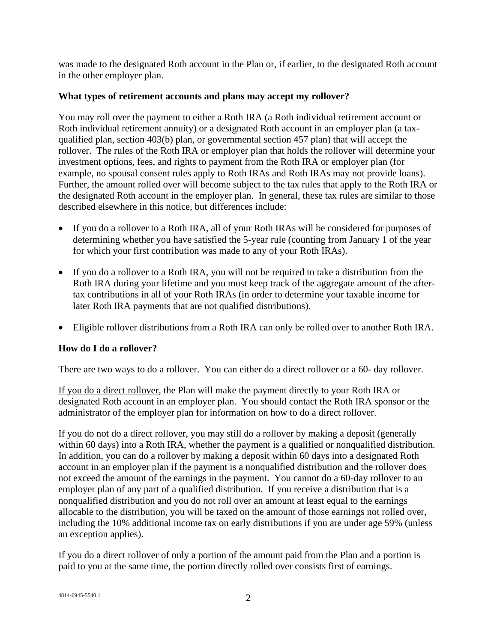was made to the designated Roth account in the Plan or, if earlier, to the designated Roth account in the other employer plan.

## **What types of retirement accounts and plans may accept my rollover?**

You may roll over the payment to either a Roth IRA (a Roth individual retirement account or Roth individual retirement annuity) or a designated Roth account in an employer plan (a taxqualified plan, section 403(b) plan, or governmental section 457 plan) that will accept the rollover. The rules of the Roth IRA or employer plan that holds the rollover will determine your investment options, fees, and rights to payment from the Roth IRA or employer plan (for example, no spousal consent rules apply to Roth IRAs and Roth IRAs may not provide loans). Further, the amount rolled over will become subject to the tax rules that apply to the Roth IRA or the designated Roth account in the employer plan. In general, these tax rules are similar to those described elsewhere in this notice, but differences include:

- If you do a rollover to a Roth IRA, all of your Roth IRAs will be considered for purposes of determining whether you have satisfied the 5-year rule (counting from January 1 of the year for which your first contribution was made to any of your Roth IRAs).
- If you do a rollover to a Roth IRA, you will not be required to take a distribution from the Roth IRA during your lifetime and you must keep track of the aggregate amount of the aftertax contributions in all of your Roth IRAs (in order to determine your taxable income for later Roth IRA payments that are not qualified distributions).
- Eligible rollover distributions from a Roth IRA can only be rolled over to another Roth IRA.

## **How do I do a rollover?**

There are two ways to do a rollover. You can either do a direct rollover or a 60- day rollover.

If you do a direct rollover, the Plan will make the payment directly to your Roth IRA or designated Roth account in an employer plan. You should contact the Roth IRA sponsor or the administrator of the employer plan for information on how to do a direct rollover.

If you do not do a direct rollover, you may still do a rollover by making a deposit (generally within 60 days) into a Roth IRA, whether the payment is a qualified or nonqualified distribution. In addition, you can do a rollover by making a deposit within 60 days into a designated Roth account in an employer plan if the payment is a nonqualified distribution and the rollover does not exceed the amount of the earnings in the payment. You cannot do a 60-day rollover to an employer plan of any part of a qualified distribution. If you receive a distribution that is a nonqualified distribution and you do not roll over an amount at least equal to the earnings allocable to the distribution, you will be taxed on the amount of those earnings not rolled over, including the 10% additional income tax on early distributions if you are under age 59% (unless an exception applies).

If you do a direct rollover of only a portion of the amount paid from the Plan and a portion is paid to you at the same time, the portion directly rolled over consists first of earnings.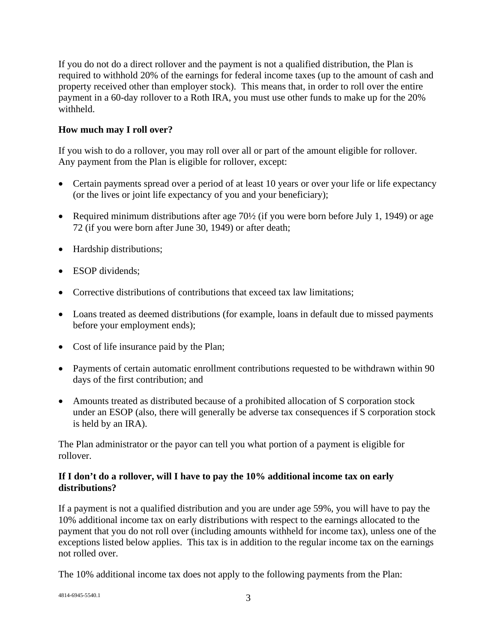If you do not do a direct rollover and the payment is not a qualified distribution, the Plan is required to withhold 20% of the earnings for federal income taxes (up to the amount of cash and property received other than employer stock). This means that, in order to roll over the entire payment in a 60-day rollover to a Roth IRA, you must use other funds to make up for the 20% withheld.

## **How much may I roll over?**

If you wish to do a rollover, you may roll over all or part of the amount eligible for rollover. Any payment from the Plan is eligible for rollover, except:

- Certain payments spread over a period of at least 10 years or over your life or life expectancy (or the lives or joint life expectancy of you and your beneficiary);
- Required minimum distributions after age 70½ (if you were born before July 1, 1949) or age 72 (if you were born after June 30, 1949) or after death;
- Hardship distributions;
- ESOP dividends;
- Corrective distributions of contributions that exceed tax law limitations;
- Loans treated as deemed distributions (for example, loans in default due to missed payments before your employment ends);
- Cost of life insurance paid by the Plan;
- Payments of certain automatic enrollment contributions requested to be withdrawn within 90 days of the first contribution; and
- Amounts treated as distributed because of a prohibited allocation of S corporation stock under an ESOP (also, there will generally be adverse tax consequences if S corporation stock is held by an IRA).

The Plan administrator or the payor can tell you what portion of a payment is eligible for rollover.

## **If I don't do a rollover, will I have to pay the 10% additional income tax on early distributions?**

If a payment is not a qualified distribution and you are under age 59%, you will have to pay the 10% additional income tax on early distributions with respect to the earnings allocated to the payment that you do not roll over (including amounts withheld for income tax), unless one of the exceptions listed below applies. This tax is in addition to the regular income tax on the earnings not rolled over.

The 10% additional income tax does not apply to the following payments from the Plan:

 $4814-6945-5540.1$  3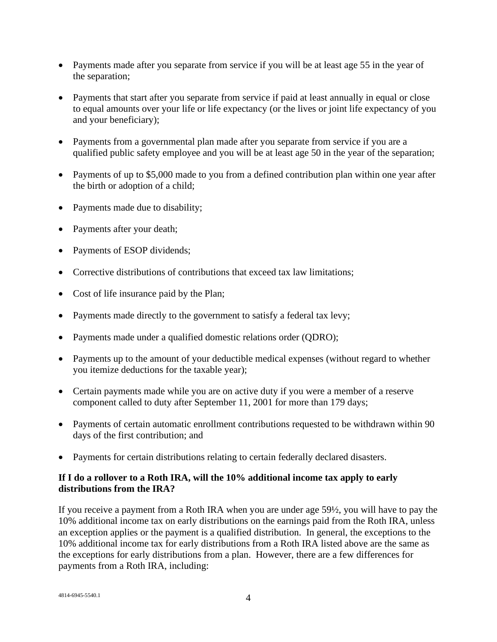- Payments made after you separate from service if you will be at least age 55 in the year of the separation;
- Payments that start after you separate from service if paid at least annually in equal or close to equal amounts over your life or life expectancy (or the lives or joint life expectancy of you and your beneficiary);
- Payments from a governmental plan made after you separate from service if you are a qualified public safety employee and you will be at least age 50 in the year of the separation;
- Payments of up to \$5,000 made to you from a defined contribution plan within one year after the birth or adoption of a child;
- Payments made due to disability;
- Payments after your death;
- Payments of ESOP dividends;
- Corrective distributions of contributions that exceed tax law limitations;
- Cost of life insurance paid by the Plan;
- Payments made directly to the government to satisfy a federal tax levy;
- Payments made under a qualified domestic relations order (QDRO);
- Payments up to the amount of your deductible medical expenses (without regard to whether you itemize deductions for the taxable year);
- Certain payments made while you are on active duty if you were a member of a reserve component called to duty after September 11, 2001 for more than 179 days;
- Payments of certain automatic enrollment contributions requested to be withdrawn within 90 days of the first contribution; and
- Payments for certain distributions relating to certain federally declared disasters.

## **If I do a rollover to a Roth IRA, will the 10% additional income tax apply to early distributions from the IRA?**

If you receive a payment from a Roth IRA when you are under age 59½, you will have to pay the 10% additional income tax on early distributions on the earnings paid from the Roth IRA, unless an exception applies or the payment is a qualified distribution. In general, the exceptions to the 10% additional income tax for early distributions from a Roth IRA listed above are the same as the exceptions for early distributions from a plan. However, there are a few differences for payments from a Roth IRA, including: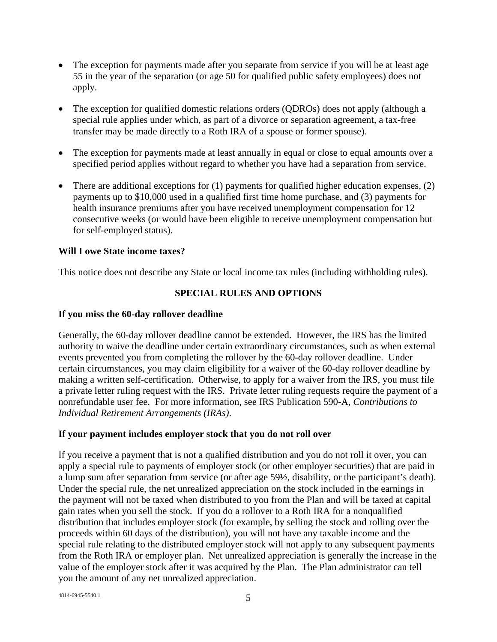- The exception for payments made after you separate from service if you will be at least age 55 in the year of the separation (or age 50 for qualified public safety employees) does not apply.
- The exception for qualified domestic relations orders (QDROs) does not apply (although a special rule applies under which, as part of a divorce or separation agreement, a tax-free transfer may be made directly to a Roth IRA of a spouse or former spouse).
- The exception for payments made at least annually in equal or close to equal amounts over a specified period applies without regard to whether you have had a separation from service.
- There are additional exceptions for  $(1)$  payments for qualified higher education expenses,  $(2)$ payments up to \$10,000 used in a qualified first time home purchase, and (3) payments for health insurance premiums after you have received unemployment compensation for 12 consecutive weeks (or would have been eligible to receive unemployment compensation but for self-employed status).

### **Will I owe State income taxes?**

This notice does not describe any State or local income tax rules (including withholding rules).

### **SPECIAL RULES AND OPTIONS**

### **If you miss the 60-day rollover deadline**

Generally, the 60-day rollover deadline cannot be extended. However, the IRS has the limited authority to waive the deadline under certain extraordinary circumstances, such as when external events prevented you from completing the rollover by the 60-day rollover deadline. Under certain circumstances, you may claim eligibility for a waiver of the 60-day rollover deadline by making a written self-certification. Otherwise, to apply for a waiver from the IRS, you must file a private letter ruling request with the IRS. Private letter ruling requests require the payment of a nonrefundable user fee. For more information, see IRS Publication 590-A, *Contributions to Individual Retirement Arrangements (IRAs)*.

### **If your payment includes employer stock that you do not roll over**

If you receive a payment that is not a qualified distribution and you do not roll it over, you can apply a special rule to payments of employer stock (or other employer securities) that are paid in a lump sum after separation from service (or after age 59½, disability, or the participant's death). Under the special rule, the net unrealized appreciation on the stock included in the earnings in the payment will not be taxed when distributed to you from the Plan and will be taxed at capital gain rates when you sell the stock. If you do a rollover to a Roth IRA for a nonqualified distribution that includes employer stock (for example, by selling the stock and rolling over the proceeds within 60 days of the distribution), you will not have any taxable income and the special rule relating to the distributed employer stock will not apply to any subsequent payments from the Roth IRA or employer plan. Net unrealized appreciation is generally the increase in the value of the employer stock after it was acquired by the Plan. The Plan administrator can tell you the amount of any net unrealized appreciation.

 $4814-6945-5540.1$  5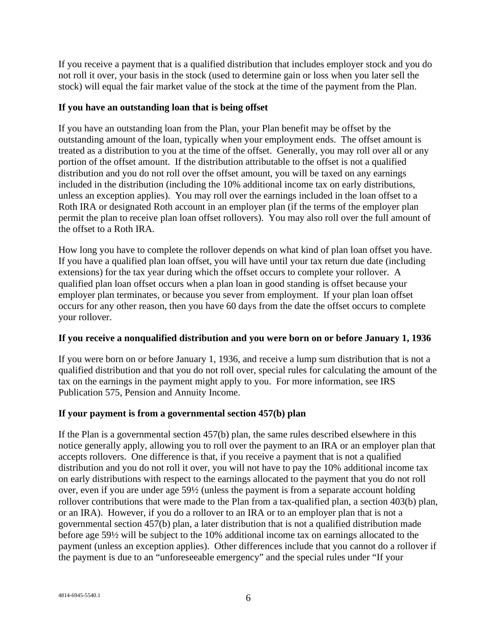If you receive a payment that is a qualified distribution that includes employer stock and you do not roll it over, your basis in the stock (used to determine gain or loss when you later sell the stock) will equal the fair market value of the stock at the time of the payment from the Plan.

### **If you have an outstanding loan that is being offset**

If you have an outstanding loan from the Plan, your Plan benefit may be offset by the outstanding amount of the loan, typically when your employment ends. The offset amount is treated as a distribution to you at the time of the offset. Generally, you may roll over all or any portion of the offset amount. If the distribution attributable to the offset is not a qualified distribution and you do not roll over the offset amount, you will be taxed on any earnings included in the distribution (including the 10% additional income tax on early distributions, unless an exception applies). You may roll over the earnings included in the loan offset to a Roth IRA or designated Roth account in an employer plan (if the terms of the employer plan permit the plan to receive plan loan offset rollovers). You may also roll over the full amount of the offset to a Roth IRA.

How long you have to complete the rollover depends on what kind of plan loan offset you have. If you have a qualified plan loan offset, you will have until your tax return due date (including extensions) for the tax year during which the offset occurs to complete your rollover. A qualified plan loan offset occurs when a plan loan in good standing is offset because your employer plan terminates, or because you sever from employment. If your plan loan offset occurs for any other reason, then you have 60 days from the date the offset occurs to complete your rollover.

## **If you receive a nonqualified distribution and you were born on or before January 1, 1936**

If you were born on or before January 1, 1936, and receive a lump sum distribution that is not a qualified distribution and that you do not roll over, special rules for calculating the amount of the tax on the earnings in the payment might apply to you. For more information, see IRS Publication 575, Pension and Annuity Income.

## **If your payment is from a governmental section 457(b) plan**

If the Plan is a governmental section 457(b) plan, the same rules described elsewhere in this notice generally apply, allowing you to roll over the payment to an IRA or an employer plan that accepts rollovers. One difference is that, if you receive a payment that is not a qualified distribution and you do not roll it over, you will not have to pay the 10% additional income tax on early distributions with respect to the earnings allocated to the payment that you do not roll over, even if you are under age 59½ (unless the payment is from a separate account holding rollover contributions that were made to the Plan from a tax-qualified plan, a section 403(b) plan, or an IRA). However, if you do a rollover to an IRA or to an employer plan that is not a governmental section 457(b) plan, a later distribution that is not a qualified distribution made before age 59½ will be subject to the 10% additional income tax on earnings allocated to the payment (unless an exception applies). Other differences include that you cannot do a rollover if the payment is due to an "unforeseeable emergency" and the special rules under "If your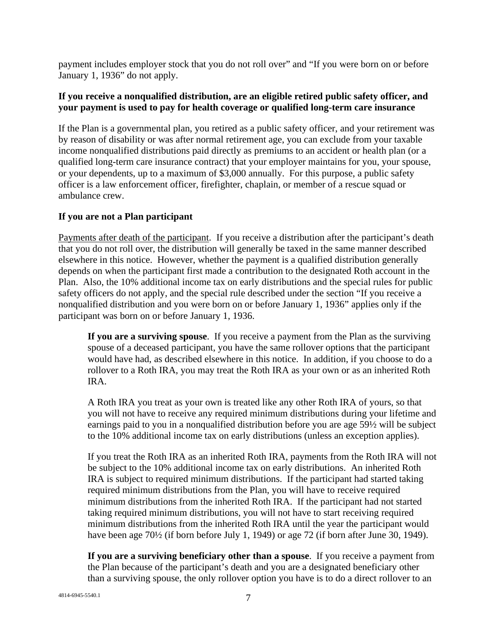payment includes employer stock that you do not roll over" and "If you were born on or before January 1, 1936" do not apply.

### **If you receive a nonqualified distribution, are an eligible retired public safety officer, and your payment is used to pay for health coverage or qualified long-term care insurance**

If the Plan is a governmental plan, you retired as a public safety officer, and your retirement was by reason of disability or was after normal retirement age, you can exclude from your taxable income nonqualified distributions paid directly as premiums to an accident or health plan (or a qualified long-term care insurance contract) that your employer maintains for you, your spouse, or your dependents, up to a maximum of \$3,000 annually. For this purpose, a public safety officer is a law enforcement officer, firefighter, chaplain, or member of a rescue squad or ambulance crew.

### **If you are not a Plan participant**

Payments after death of the participant. If you receive a distribution after the participant's death that you do not roll over, the distribution will generally be taxed in the same manner described elsewhere in this notice. However, whether the payment is a qualified distribution generally depends on when the participant first made a contribution to the designated Roth account in the Plan. Also, the 10% additional income tax on early distributions and the special rules for public safety officers do not apply, and the special rule described under the section "If you receive a nonqualified distribution and you were born on or before January 1, 1936" applies only if the participant was born on or before January 1, 1936.

**If you are a surviving spouse**. If you receive a payment from the Plan as the surviving spouse of a deceased participant, you have the same rollover options that the participant would have had, as described elsewhere in this notice. In addition, if you choose to do a rollover to a Roth IRA, you may treat the Roth IRA as your own or as an inherited Roth IRA.

A Roth IRA you treat as your own is treated like any other Roth IRA of yours, so that you will not have to receive any required minimum distributions during your lifetime and earnings paid to you in a nonqualified distribution before you are age 59½ will be subject to the 10% additional income tax on early distributions (unless an exception applies).

If you treat the Roth IRA as an inherited Roth IRA, payments from the Roth IRA will not be subject to the 10% additional income tax on early distributions. An inherited Roth IRA is subject to required minimum distributions. If the participant had started taking required minimum distributions from the Plan, you will have to receive required minimum distributions from the inherited Roth IRA. If the participant had not started taking required minimum distributions, you will not have to start receiving required minimum distributions from the inherited Roth IRA until the year the participant would have been age 70½ (if born before July 1, 1949) or age 72 (if born after June 30, 1949).

**If you are a surviving beneficiary other than a spouse**. If you receive a payment from the Plan because of the participant's death and you are a designated beneficiary other than a surviving spouse, the only rollover option you have is to do a direct rollover to an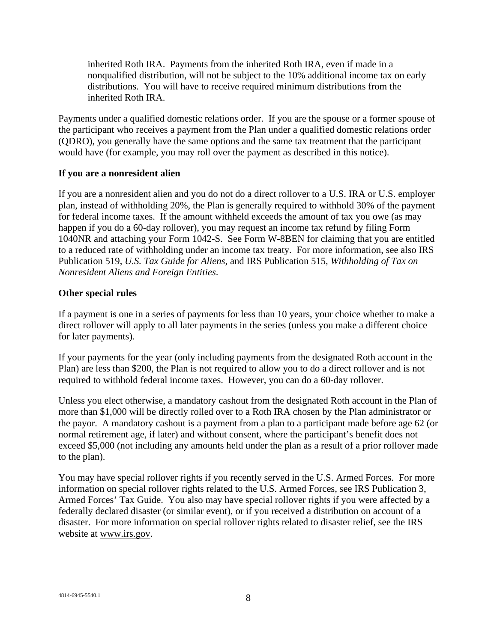inherited Roth IRA. Payments from the inherited Roth IRA, even if made in a nonqualified distribution, will not be subject to the 10% additional income tax on early distributions. You will have to receive required minimum distributions from the inherited Roth IRA.

Payments under a qualified domestic relations order. If you are the spouse or a former spouse of the participant who receives a payment from the Plan under a qualified domestic relations order (QDRO), you generally have the same options and the same tax treatment that the participant would have (for example, you may roll over the payment as described in this notice).

### **If you are a nonresident alien**

If you are a nonresident alien and you do not do a direct rollover to a U.S. IRA or U.S. employer plan, instead of withholding 20%, the Plan is generally required to withhold 30% of the payment for federal income taxes. If the amount withheld exceeds the amount of tax you owe (as may happen if you do a 60-day rollover), you may request an income tax refund by filing Form 1040NR and attaching your Form 1042-S. See Form W-8BEN for claiming that you are entitled to a reduced rate of withholding under an income tax treaty. For more information, see also IRS Publication 519, *U.S. Tax Guide for Aliens*, and IRS Publication 515, *Withholding of Tax on Nonresident Aliens and Foreign Entities*.

### **Other special rules**

If a payment is one in a series of payments for less than 10 years, your choice whether to make a direct rollover will apply to all later payments in the series (unless you make a different choice for later payments).

If your payments for the year (only including payments from the designated Roth account in the Plan) are less than \$200, the Plan is not required to allow you to do a direct rollover and is not required to withhold federal income taxes. However, you can do a 60-day rollover.

Unless you elect otherwise, a mandatory cashout from the designated Roth account in the Plan of more than \$1,000 will be directly rolled over to a Roth IRA chosen by the Plan administrator or the payor. A mandatory cashout is a payment from a plan to a participant made before age 62 (or normal retirement age, if later) and without consent, where the participant's benefit does not exceed \$5,000 (not including any amounts held under the plan as a result of a prior rollover made to the plan).

You may have special rollover rights if you recently served in the U.S. Armed Forces. For more information on special rollover rights related to the U.S. Armed Forces, see IRS Publication 3, Armed Forces' Tax Guide. You also may have special rollover rights if you were affected by a federally declared disaster (or similar event), or if you received a distribution on account of a disaster. For more information on special rollover rights related to disaster relief, see the IRS website at www.irs.gov.